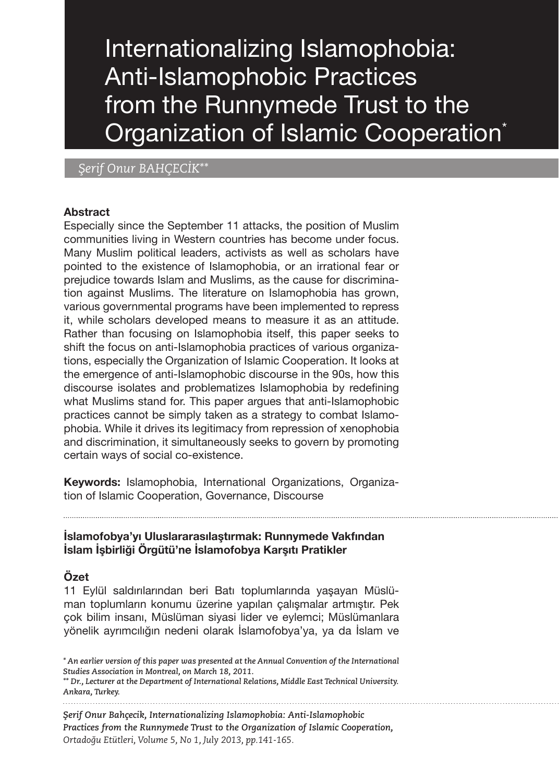Internationalizing Islamophobia: Anti-Islamophobic Practices from the Runnymede Trust to the Organization of Islamic Cooperation<sup>\*</sup>

## *Şerif Onur BAHÇECİK\*\**

#### **Abstract**

Especially since the September 11 attacks, the position of Muslim communities living in Western countries has become under focus. Many Muslim political leaders, activists as well as scholars have pointed to the existence of Islamophobia, or an irrational fear or prejudice towards Islam and Muslims, as the cause for discrimination against Muslims. The literature on Islamophobia has grown, various governmental programs have been implemented to repress it, while scholars developed means to measure it as an attitude. Rather than focusing on Islamophobia itself, this paper seeks to shift the focus on anti-Islamophobia practices of various organizations, especially the Organization of Islamic Cooperation. It looks at the emergence of anti-Islamophobic discourse in the 90s, how this discourse isolates and problematizes Islamophobia by redefining what Muslims stand for. This paper argues that anti-Islamophobic practices cannot be simply taken as a strategy to combat Islamophobia. While it drives its legitimacy from repression of xenophobia and discrimination, it simultaneously seeks to govern by promoting certain ways of social co-existence.

**Keywords:** Islamophobia, International Organizations, Organization of Islamic Cooperation, Governance, Discourse

#### **İslamofobya'yı Uluslararasılaştırmak: Runnymede Vakfından İslam İşbirliği Örgütü'ne İslamofobya Karşıtı Pratikler**

#### **Özet**

11 Eylül saldırılarından beri Batı toplumlarında yaşayan Müslüman toplumların konumu üzerine yapılan çalışmalar artmıştır. Pek çok bilim insanı, Müslüman siyasi lider ve eylemci; Müslümanlara yönelik ayrımcılığın nedeni olarak İslamofobya'ya, ya da İslam ve

*Şerif Onur Bahçecik, Internationalizing Islamophobia: Anti-Islamophobic Practices from the Runnymede Trust to the Organization of Islamic Cooperation, Ortadoğu Etütleri, Volume 5, No 1, July 2013, pp.141-165.*

*<sup>\*</sup> An earlier version of this paper was presented at the Annual Convention of the International Studies Association in Montreal, on March 18, 2011.*

*<sup>\*\*</sup> Dr., Lecturer at the Department of International Relations, Middle East Technical University. Ankara, Turkey.*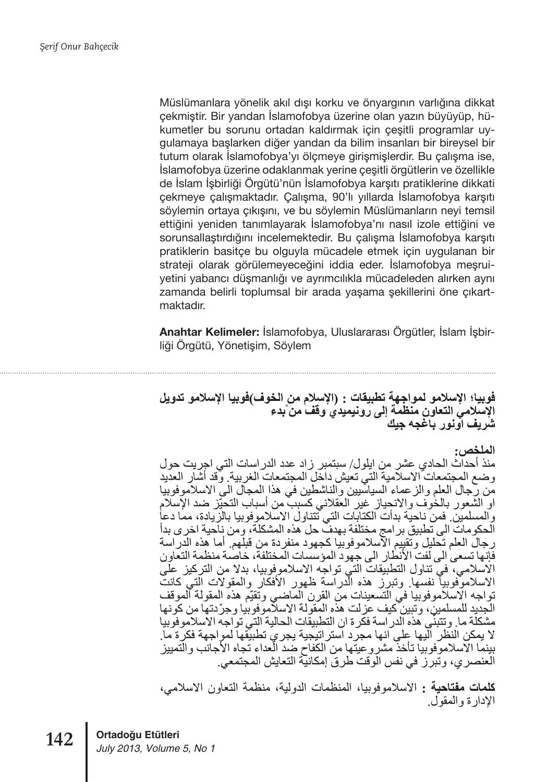Müslümanlara yönelik akıl dışı korku ve önyargının varlığına dikkat çekmiştir. Bir yandan İslamofobya üzerine olan yazın büyüyüp, hükumetler bu sorunu ortadan kaldırmak için çeşitli programlar uygulamaya başlarken diğer yandan da bilim insanları bir bireysel bir tutum olarak İslamofobya'yı ölçmeye girişmişlerdir. Bu çalışma ise, İslamofobya üzerine odaklanmak yerine çeşitli örgütlerin ve özellikle de İslam İşbirliği Örgütü'nün İslamofobya karşıtı pratiklerine dikkati çekmeye çalışmaktadır. Çalışma, 90'lı yıllarda İslamofobya karşıtı söylemin ortaya çıkışını, ve bu söylemin Müslümanların neyi temsil ettiğini yeniden tanımlayarak İslamofobya'nı nasıl izole ettiğini ve sorunsallaştırdığını incelemektedir. Bu çalışma İslamofobya karşıtı pratiklerin basitçe bu olguyla mücadele etmek için uygulanan bir strateji olarak görülemeyeceğini iddia eder. İslamofobya meşruiyetini yabancı düşmanlığı ve ayrımcılıkla mücadeleden alırken aynı zamanda belirli toplumsal bir arada yaşama şekillerini öne çıkartmaktadır.

**Anahtar Kelimeler:** İslamofobya, Uluslararası Örgütler, İslam İşbirliği Örgütü, Yönetişim, Söylem

# فوبيا؛ الإسلامو لمواجهة تطبيقات : (الإسلام من الخوف)فوبيا الإسلامو تدويل سمبر استحدث حساسة السمبر المسموعين المسموعين المسموعين المسموعين المسموعين المسموعين المسموعين المسموعين المسم<br>الإسلامي التعاون منظمة إلى رونيميدي وقف من بدء

#### الملخص:

منذ أحداّث الحادي عشر من ايلول/ سبتمبر زاد عدد الدراسات التي اجريت حول وضع المجتمعات الاسلامية التّي تعيش داخل المجتمعات الغربية. وقد أشّار العديد من رَّجال العلم والز عماء السياسّيين والناشطين في هذا المجال الى الاسلاموفوبيا او الشعور بالخُوف والانحياز غير العقلاني كسببٌ من أسباب التحيّز ضد الإسلام والمسلمين فمن ناحية بدأت الكتابات التي تتناول الاسلاموفوبيا بالزيادة، مما دعا الحكومات الى تطبيق برامج مختلفة بهدف حل هذه المشكلة، ومن ناحية اخر ي بدأ ر جال العلم تحليل و تقييم الآسلامو فو بيا كجهو د منفر دة من قبلهم. أما هذه الدر اسة فَّإنها تسعى الى لفت الأنطار الى جهود المؤسسات المختلفة، خاصمة منظمة التعاون الاسلامي، في تناول التطبيقات التي تواجه الاسلاموفوبيا، بدلا من التركيز على<br>الاسلاموفوبيا نفسها. وتبرز هذه الدراسة ظهور الأفكار والمقولات التي كانت تواجه الاسلاموفوبيا في التسعينات من القرن الماضى وتُقيِّم هذه المقولة الموقف الجديد للمسلمين، و تبين كيف عز لت هذه المقو لة الاسلامو فو بيا و جرّ دتها من كو نها مشكلَة ما. وتتَبَنَّى هَذَه الدر اسة فكَّرة ان التطبيقَات الحالية التي تواجه الأسلاموفوبيا لا يمكن النظّر الّيها على انها مجرّد استر انبجية يجريّ تطبيقها لمواجهة فكرّة ما. بينما الاسلامو فوبيا تأخذ مشر و عبتها من الكفاح ضد العداء تجاه الأجانب و التمبيز الْعنصري، وتُبَرَّزُ في نفس الْوَقْتُ طُرِقٌ إمكانيَّة التعايش المجتمعي.

**كلمات مفتاحية :** الاسلاموفوبيا، المنظمات الدولية، منظمة التعاون الاسلامي، الإدارة والمقول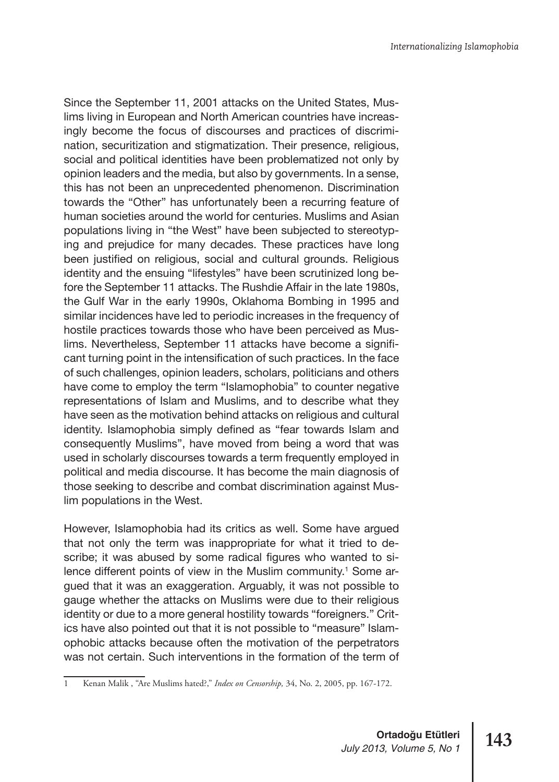Since the September 11, 2001 attacks on the United States, Muslims living in European and North American countries have increasingly become the focus of discourses and practices of discrimination, securitization and stigmatization. Their presence, religious, social and political identities have been problematized not only by opinion leaders and the media, but also by governments. In a sense, this has not been an unprecedented phenomenon. Discrimination towards the "Other" has unfortunately been a recurring feature of human societies around the world for centuries. Muslims and Asian populations living in "the West" have been subjected to stereotyping and prejudice for many decades. These practices have long been justified on religious, social and cultural grounds. Religious identity and the ensuing "lifestyles" have been scrutinized long before the September 11 attacks. The Rushdie Affair in the late 1980s, the Gulf War in the early 1990s, Oklahoma Bombing in 1995 and similar incidences have led to periodic increases in the frequency of hostile practices towards those who have been perceived as Muslims. Nevertheless, September 11 attacks have become a significant turning point in the intensification of such practices. In the face of such challenges, opinion leaders, scholars, politicians and others have come to employ the term "Islamophobia" to counter negative representations of Islam and Muslims, and to describe what they have seen as the motivation behind attacks on religious and cultural identity. Islamophobia simply defined as "fear towards Islam and consequently Muslims", have moved from being a word that was used in scholarly discourses towards a term frequently employed in political and media discourse. It has become the main diagnosis of those seeking to describe and combat discrimination against Muslim populations in the West.

However, Islamophobia had its critics as well. Some have argued that not only the term was inappropriate for what it tried to describe; it was abused by some radical figures who wanted to silence different points of view in the Muslim community.<sup>1</sup> Some argued that it was an exaggeration. Arguably, it was not possible to gauge whether the attacks on Muslims were due to their religious identity or due to a more general hostility towards "foreigners." Critics have also pointed out that it is not possible to "measure" Islamophobic attacks because often the motivation of the perpetrators was not certain. Such interventions in the formation of the term of

<sup>1</sup> Kenan Malik , "Are Muslims hated?," *Index on Censorship,* 34, No. 2, 2005, pp. 167-172.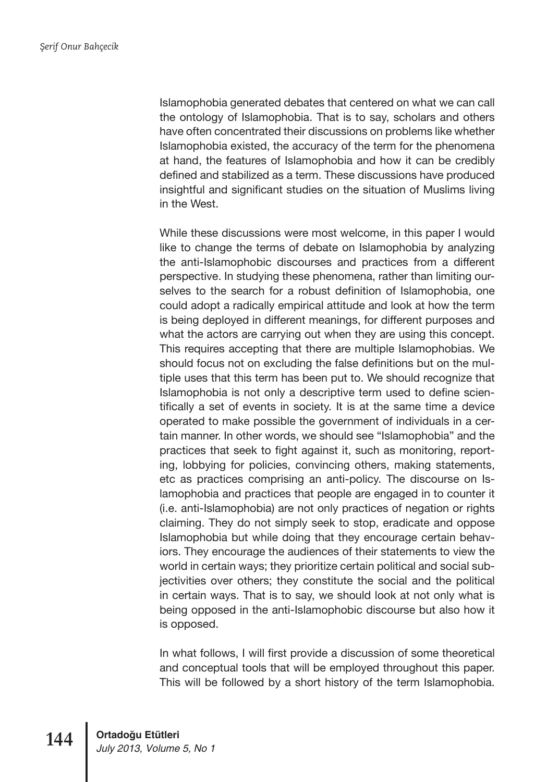Islamophobia generated debates that centered on what we can call the ontology of Islamophobia. That is to say, scholars and others have often concentrated their discussions on problems like whether Islamophobia existed, the accuracy of the term for the phenomena at hand, the features of Islamophobia and how it can be credibly defined and stabilized as a term. These discussions have produced insightful and significant studies on the situation of Muslims living in the West.

While these discussions were most welcome, in this paper I would like to change the terms of debate on Islamophobia by analyzing the anti-Islamophobic discourses and practices from a different perspective. In studying these phenomena, rather than limiting ourselves to the search for a robust definition of Islamophobia, one could adopt a radically empirical attitude and look at how the term is being deployed in different meanings, for different purposes and what the actors are carrying out when they are using this concept. This requires accepting that there are multiple Islamophobias. We should focus not on excluding the false definitions but on the multiple uses that this term has been put to. We should recognize that Islamophobia is not only a descriptive term used to define scientifically a set of events in society. It is at the same time a device operated to make possible the government of individuals in a certain manner. In other words, we should see "Islamophobia" and the practices that seek to fight against it, such as monitoring, reporting, lobbying for policies, convincing others, making statements, etc as practices comprising an anti-policy. The discourse on Islamophobia and practices that people are engaged in to counter it (i.e. anti-Islamophobia) are not only practices of negation or rights claiming. They do not simply seek to stop, eradicate and oppose Islamophobia but while doing that they encourage certain behaviors. They encourage the audiences of their statements to view the world in certain ways; they prioritize certain political and social subjectivities over others; they constitute the social and the political in certain ways. That is to say, we should look at not only what is being opposed in the anti-Islamophobic discourse but also how it is opposed.

In what follows, I will first provide a discussion of some theoretical and conceptual tools that will be employed throughout this paper. This will be followed by a short history of the term Islamophobia.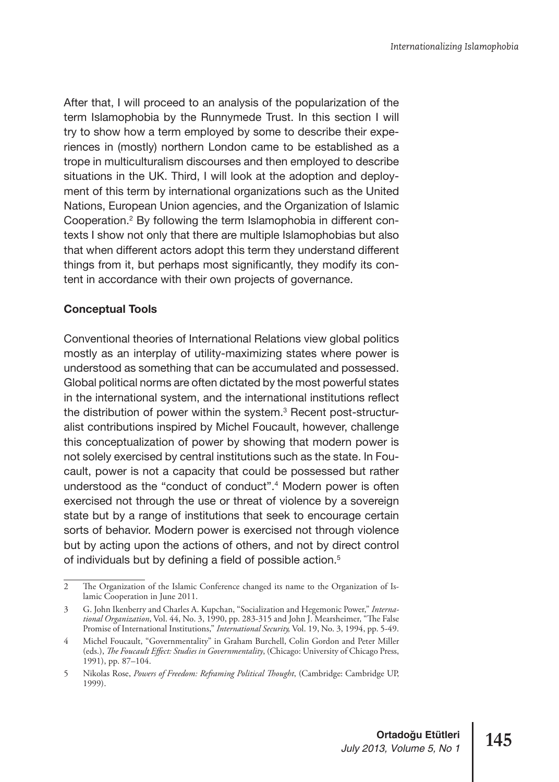After that, I will proceed to an analysis of the popularization of the term Islamophobia by the Runnymede Trust. In this section I will try to show how a term employed by some to describe their experiences in (mostly) northern London came to be established as a trope in multiculturalism discourses and then employed to describe situations in the UK. Third, I will look at the adoption and deployment of this term by international organizations such as the United Nations, European Union agencies, and the Organization of Islamic Cooperation.2 By following the term Islamophobia in different contexts I show not only that there are multiple Islamophobias but also that when different actors adopt this term they understand different things from it, but perhaps most significantly, they modify its content in accordance with their own projects of governance.

## **Conceptual Tools**

Conventional theories of International Relations view global politics mostly as an interplay of utility-maximizing states where power is understood as something that can be accumulated and possessed. Global political norms are often dictated by the most powerful states in the international system, and the international institutions reflect the distribution of power within the system.<sup>3</sup> Recent post-structuralist contributions inspired by Michel Foucault, however, challenge this conceptualization of power by showing that modern power is not solely exercised by central institutions such as the state. In Foucault, power is not a capacity that could be possessed but rather understood as the "conduct of conduct".<sup>4</sup> Modern power is often exercised not through the use or threat of violence by a sovereign state but by a range of institutions that seek to encourage certain sorts of behavior. Modern power is exercised not through violence but by acting upon the actions of others, and not by direct control of individuals but by defining a field of possible action.<sup>5</sup>

<sup>2</sup> The Organization of the Islamic Conference changed its name to the Organization of Islamic Cooperation in June 2011.

<sup>3</sup> G. John Ikenberry and Charles A. Kupchan, "Socialization and Hegemonic Power," *International Organization*, Vol. 44, No. 3, 1990, pp. 283-315 and John J. Mearsheimer, "The False Promise of International Institutions," *International Security,* Vol. 19, No. 3, 1994, pp. 5-49.

<sup>4</sup> Michel Foucault, "Governmentality" in Graham Burchell, Colin Gordon and Peter Miller (eds.), *The Foucault Effect: Studies in Governmentality*, (Chicago: University of Chicago Press, 1991), pp. 87–104.

<sup>5</sup> Nikolas Rose, *Powers of Freedom: Reframing Political Thought*, (Cambridge: Cambridge UP, 1999).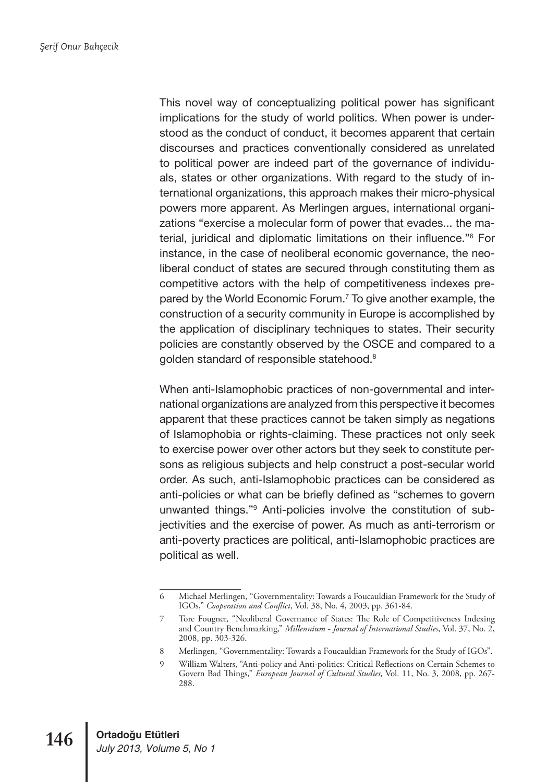This novel way of conceptualizing political power has significant implications for the study of world politics. When power is understood as the conduct of conduct, it becomes apparent that certain discourses and practices conventionally considered as unrelated to political power are indeed part of the governance of individuals, states or other organizations. With regard to the study of international organizations, this approach makes their micro-physical powers more apparent. As Merlingen argues, international organizations "exercise a molecular form of power that evades... the material, juridical and diplomatic limitations on their influence."6 For instance, in the case of neoliberal economic governance, the neoliberal conduct of states are secured through constituting them as competitive actors with the help of competitiveness indexes prepared by the World Economic Forum.<sup>7</sup> To give another example, the construction of a security community in Europe is accomplished by the application of disciplinary techniques to states. Their security policies are constantly observed by the OSCE and compared to a golden standard of responsible statehood.<sup>8</sup>

When anti-Islamophobic practices of non-governmental and international organizations are analyzed from this perspective it becomes apparent that these practices cannot be taken simply as negations of Islamophobia or rights-claiming. These practices not only seek to exercise power over other actors but they seek to constitute persons as religious subjects and help construct a post-secular world order. As such, anti-Islamophobic practices can be considered as anti-policies or what can be briefly defined as "schemes to govern unwanted things."<sup>9</sup> Anti-policies involve the constitution of subjectivities and the exercise of power. As much as anti-terrorism or anti-poverty practices are political, anti-Islamophobic practices are political as well.

<sup>6</sup> Michael Merlingen, "Governmentality: Towards a Foucauldian Framework for the Study of IGOs," *Cooperation and Conflict*, Vol. 38, No. 4, 2003, pp. 361-84.

<sup>7</sup> Tore Fougner, "Neoliberal Governance of States: The Role of Competitiveness Indexing and Country Benchmarking," *Millennium - Journal of International Studies*, Vol. 37, No. 2, 2008, pp. 303-326.

<sup>8</sup> Merlingen, "Governmentality: Towards a Foucauldian Framework for the Study of IGOs".

<sup>9</sup> William Walters, "Anti-policy and Anti-politics: Critical Reflections on Certain Schemes to Govern Bad Things," *European Journal of Cultural Studies,* Vol. 11, No. 3, 2008, pp. 267- 288.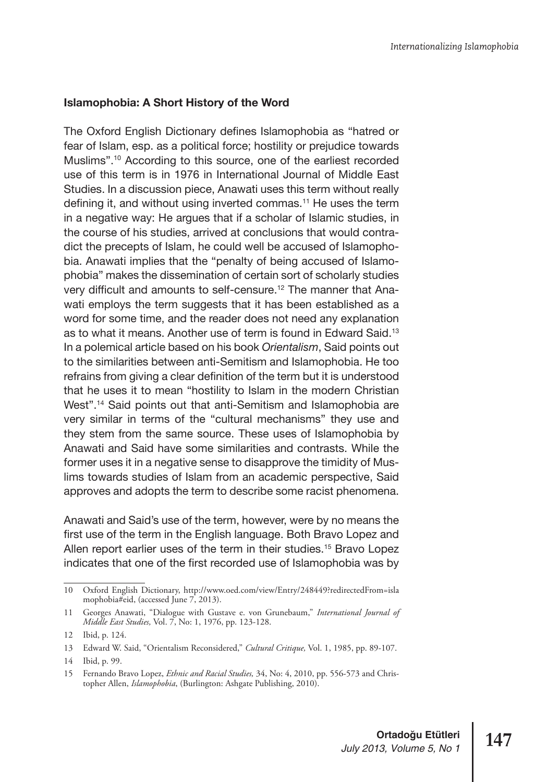#### **Islamophobia: A Short History of the Word**

The Oxford English Dictionary defines Islamophobia as "hatred or fear of Islam, esp. as a political force; hostility or prejudice towards Muslims".10 According to this source, one of the earliest recorded use of this term is in 1976 in International Journal of Middle East Studies. In a discussion piece, Anawati uses this term without really defining it, and without using inverted commas.11 He uses the term in a negative way: He argues that if a scholar of Islamic studies, in the course of his studies, arrived at conclusions that would contradict the precepts of Islam, he could well be accused of Islamophobia. Anawati implies that the "penalty of being accused of Islamophobia" makes the dissemination of certain sort of scholarly studies very difficult and amounts to self-censure.<sup>12</sup> The manner that Anawati employs the term suggests that it has been established as a word for some time, and the reader does not need any explanation as to what it means. Another use of term is found in Edward Said.13 In a polemical article based on his book *Orientalism*, Said points out to the similarities between anti-Semitism and Islamophobia. He too refrains from giving a clear definition of the term but it is understood that he uses it to mean "hostility to Islam in the modern Christian West".<sup>14</sup> Said points out that anti-Semitism and Islamophobia are very similar in terms of the "cultural mechanisms" they use and they stem from the same source. These uses of Islamophobia by Anawati and Said have some similarities and contrasts. While the former uses it in a negative sense to disapprove the timidity of Muslims towards studies of Islam from an academic perspective, Said approves and adopts the term to describe some racist phenomena.

Anawati and Said's use of the term, however, were by no means the first use of the term in the English language. Both Bravo Lopez and Allen report earlier uses of the term in their studies.<sup>15</sup> Bravo Lopez indicates that one of the first recorded use of Islamophobia was by

<sup>10</sup> Oxford English Dictionary, http://www.oed.com/view/Entry/248449?redirectedFrom=isla mophobia#eid, (accessed June 7, 2013).

<sup>11</sup> Georges Anawati, "Dialogue with Gustave e. von Grunebaum," *International Journal of Middle East Studies,* Vol. 7, No: 1, 1976, pp. 123-128.

<sup>12</sup> Ibid, p. 124.

<sup>13</sup> Edward W. Said, "Orientalism Reconsidered," *Cultural Critique,* Vol. 1, 1985, pp. 89-107.

<sup>14</sup> Ibid, p. 99.

<sup>15</sup> Fernando Bravo Lopez, *Ethnic and Racial Studies,* 34, No: 4, 2010, pp. 556-573 and Christopher Allen, *Islamophobia*, (Burlington: Ashgate Publishing, 2010).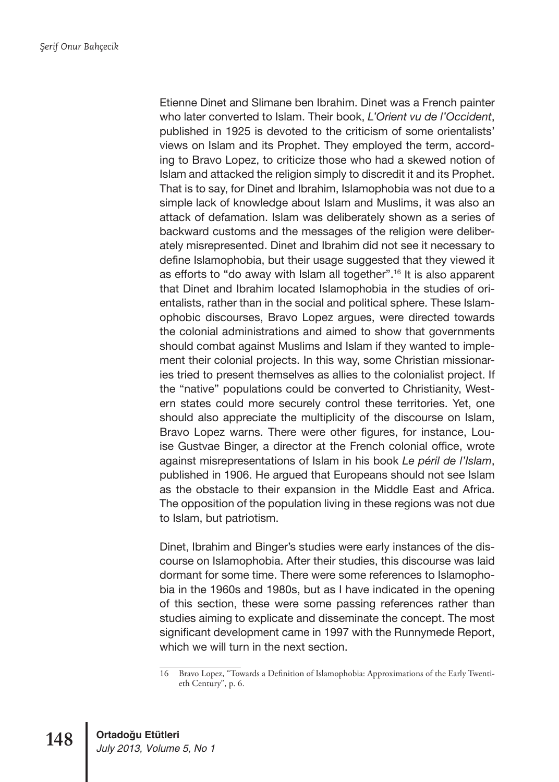Etienne Dinet and Slimane ben Ibrahim. Dinet was a French painter who later converted to Islam. Their book, *L'Orient vu de l'Occident*, published in 1925 is devoted to the criticism of some orientalists' views on Islam and its Prophet. They employed the term, according to Bravo Lopez, to criticize those who had a skewed notion of Islam and attacked the religion simply to discredit it and its Prophet. That is to say, for Dinet and Ibrahim, Islamophobia was not due to a simple lack of knowledge about Islam and Muslims, it was also an attack of defamation. Islam was deliberately shown as a series of backward customs and the messages of the religion were deliberately misrepresented. Dinet and Ibrahim did not see it necessary to define Islamophobia, but their usage suggested that they viewed it as efforts to "do away with Islam all together".16 It is also apparent that Dinet and Ibrahim located Islamophobia in the studies of orientalists, rather than in the social and political sphere. These Islamophobic discourses, Bravo Lopez argues, were directed towards the colonial administrations and aimed to show that governments should combat against Muslims and Islam if they wanted to implement their colonial projects. In this way, some Christian missionaries tried to present themselves as allies to the colonialist project. If the "native" populations could be converted to Christianity, Western states could more securely control these territories. Yet, one should also appreciate the multiplicity of the discourse on Islam, Bravo Lopez warns. There were other figures, for instance, Louise Gustvae Binger, a director at the French colonial office, wrote against misrepresentations of Islam in his book *Le péril de l'Islam*, published in 1906. He argued that Europeans should not see Islam as the obstacle to their expansion in the Middle East and Africa. The opposition of the population living in these regions was not due to Islam, but patriotism.

Dinet, Ibrahim and Binger's studies were early instances of the discourse on Islamophobia. After their studies, this discourse was laid dormant for some time. There were some references to Islamophobia in the 1960s and 1980s, but as I have indicated in the opening of this section, these were some passing references rather than studies aiming to explicate and disseminate the concept. The most significant development came in 1997 with the Runnymede Report, which we will turn in the next section.

<sup>16</sup> Bravo Lopez, "Towards a Definition of Islamophobia: Approximations of the Early Twentieth Century", p. 6.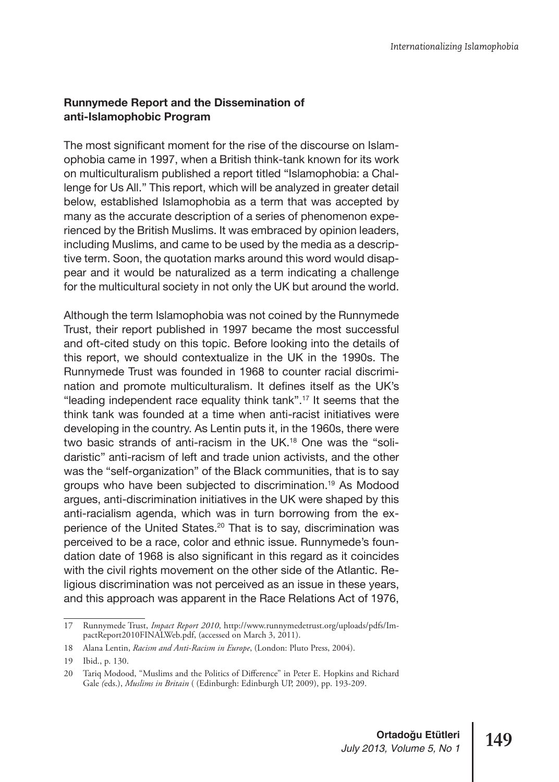## **Runnymede Report and the Dissemination of anti-Islamophobic Program**

The most significant moment for the rise of the discourse on Islamophobia came in 1997, when a British think-tank known for its work on multiculturalism published a report titled "Islamophobia: a Challenge for Us All." This report, which will be analyzed in greater detail below, established Islamophobia as a term that was accepted by many as the accurate description of a series of phenomenon experienced by the British Muslims. It was embraced by opinion leaders, including Muslims, and came to be used by the media as a descriptive term. Soon, the quotation marks around this word would disappear and it would be naturalized as a term indicating a challenge for the multicultural society in not only the UK but around the world.

Although the term Islamophobia was not coined by the Runnymede Trust, their report published in 1997 became the most successful and oft-cited study on this topic. Before looking into the details of this report, we should contextualize in the UK in the 1990s. The Runnymede Trust was founded in 1968 to counter racial discrimination and promote multiculturalism. It defines itself as the UK's "leading independent race equality think tank".17 It seems that the think tank was founded at a time when anti-racist initiatives were developing in the country. As Lentin puts it, in the 1960s, there were two basic strands of anti-racism in the UK.18 One was the "solidaristic" anti-racism of left and trade union activists, and the other was the "self-organization" of the Black communities, that is to say groups who have been subjected to discrimination.19 As Modood argues, anti-discrimination initiatives in the UK were shaped by this anti-racialism agenda, which was in turn borrowing from the experience of the United States.20 That is to say, discrimination was perceived to be a race, color and ethnic issue. Runnymede's foundation date of 1968 is also significant in this regard as it coincides with the civil rights movement on the other side of the Atlantic. Religious discrimination was not perceived as an issue in these years, and this approach was apparent in the Race Relations Act of 1976,

<sup>17</sup> Runnymede Trust, *Impact Report 2010*, http://www.runnymedetrust.org/uploads/pdfs/ImpactReport2010FINALWeb.pdf, (accessed on March 3, 2011).

<sup>18</sup> Alana Lentin, *Racism and Anti-Racism in Europe*, (London: Pluto Press, 2004).

<sup>19</sup> Ibid., p. 130.

<sup>20</sup> Tariq Modood, "Muslims and the Politics of Difference" in Peter E. Hopkins and Richard Gale *(*eds.), *Muslims in Britain* ( (Edinburgh: Edinburgh UP, 2009), pp. 193-209.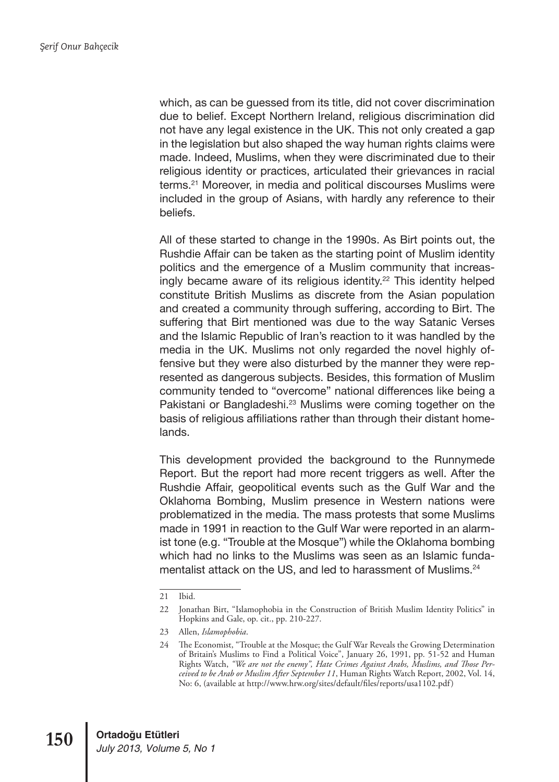which, as can be guessed from its title, did not cover discrimination due to belief. Except Northern Ireland, religious discrimination did not have any legal existence in the UK. This not only created a gap in the legislation but also shaped the way human rights claims were made. Indeed, Muslims, when they were discriminated due to their religious identity or practices, articulated their grievances in racial terms.21 Moreover, in media and political discourses Muslims were included in the group of Asians, with hardly any reference to their beliefs.

All of these started to change in the 1990s. As Birt points out, the Rushdie Affair can be taken as the starting point of Muslim identity politics and the emergence of a Muslim community that increasingly became aware of its religious identity.<sup>22</sup> This identity helped constitute British Muslims as discrete from the Asian population and created a community through suffering, according to Birt. The suffering that Birt mentioned was due to the way Satanic Verses and the Islamic Republic of Iran's reaction to it was handled by the media in the UK. Muslims not only regarded the novel highly offensive but they were also disturbed by the manner they were represented as dangerous subjects. Besides, this formation of Muslim community tended to "overcome" national differences like being a Pakistani or Bangladeshi.<sup>23</sup> Muslims were coming together on the basis of religious affiliations rather than through their distant homelands.

This development provided the background to the Runnymede Report. But the report had more recent triggers as well. After the Rushdie Affair, geopolitical events such as the Gulf War and the Oklahoma Bombing, Muslim presence in Western nations were problematized in the media. The mass protests that some Muslims made in 1991 in reaction to the Gulf War were reported in an alarmist tone (e.g. "Trouble at the Mosque") while the Oklahoma bombing which had no links to the Muslims was seen as an Islamic fundamentalist attack on the US, and led to harassment of Muslims.<sup>24</sup>

<sup>21</sup> Ibid.

<sup>22</sup> Jonathan Birt, "Islamophobia in the Construction of British Muslim Identity Politics" in Hopkins and Gale, op. cit., pp. 210-227.

<sup>23</sup> Allen, *Islamophobia*.

<sup>24</sup> The Economist, "Trouble at the Mosque; the Gulf War Reveals the Growing Determination of Britain's Muslims to Find a Political Voice", January 26, 1991, pp. 51-52 and Human Rights Watch, *"We are not the enemy", Hate Crimes Against Arabs, Muslims, and Those Perceived to be Arab or Muslim After September 11*, Human Rights Watch Report, 2002, Vol. 14, No: 6, (available at http://www.hrw.org/sites/default/files/reports/usa1102.pdf)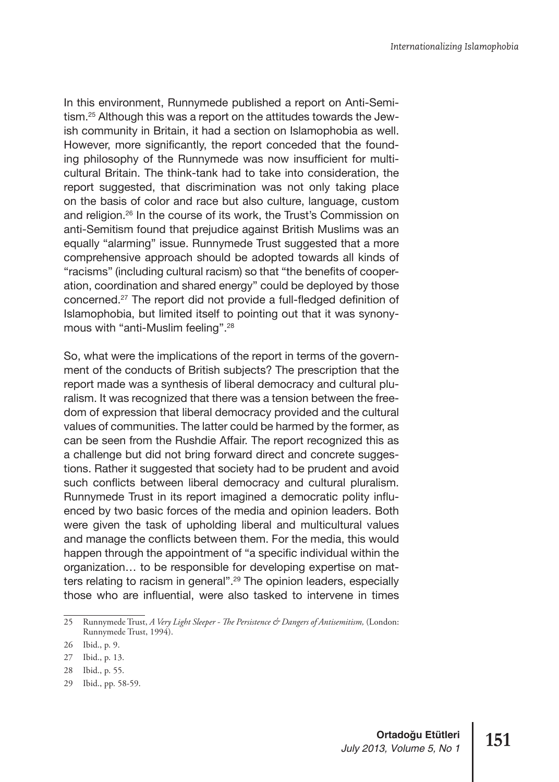In this environment, Runnymede published a report on Anti-Semitism.25 Although this was a report on the attitudes towards the Jewish community in Britain, it had a section on Islamophobia as well. However, more significantly, the report conceded that the founding philosophy of the Runnymede was now insufficient for multicultural Britain. The think-tank had to take into consideration, the report suggested, that discrimination was not only taking place on the basis of color and race but also culture, language, custom and religion.26 In the course of its work, the Trust's Commission on anti-Semitism found that prejudice against British Muslims was an equally "alarming" issue. Runnymede Trust suggested that a more comprehensive approach should be adopted towards all kinds of "racisms" (including cultural racism) so that "the benefits of cooperation, coordination and shared energy" could be deployed by those concerned.27 The report did not provide a full-fledged definition of Islamophobia, but limited itself to pointing out that it was synonymous with "anti-Muslim feeling".28

So, what were the implications of the report in terms of the government of the conducts of British subjects? The prescription that the report made was a synthesis of liberal democracy and cultural pluralism. It was recognized that there was a tension between the freedom of expression that liberal democracy provided and the cultural values of communities. The latter could be harmed by the former, as can be seen from the Rushdie Affair. The report recognized this as a challenge but did not bring forward direct and concrete suggestions. Rather it suggested that society had to be prudent and avoid such conflicts between liberal democracy and cultural pluralism. Runnymede Trust in its report imagined a democratic polity influenced by two basic forces of the media and opinion leaders. Both were given the task of upholding liberal and multicultural values and manage the conflicts between them. For the media, this would happen through the appointment of "a specific individual within the organization… to be responsible for developing expertise on matters relating to racism in general".<sup>29</sup> The opinion leaders, especially those who are influential, were also tasked to intervene in times

29 Ibid., pp. 58-59.

<sup>25</sup> Runnymede Trust, *A Very Light Sleeper - The Persistence & Dangers of Antisemitism,* (London: Runnymede Trust, 1994).

<sup>26</sup> Ibid., p. 9.

<sup>27</sup> Ibid., p. 13.

<sup>28</sup> Ibid., p. 55.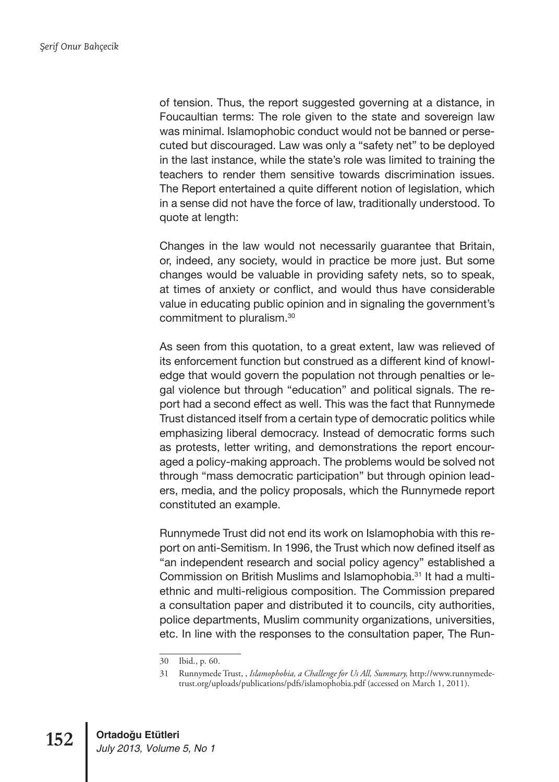of tension. Thus, the report suggested governing at a distance, in Foucaultian terms: The role given to the state and sovereign law was minimal. Islamophobic conduct would not be banned or persecuted but discouraged. Law was only a "safety net" to be deployed in the last instance, while the state's role was limited to training the teachers to render them sensitive towards discrimination issues. The Report entertained a quite different notion of legislation, which in a sense did not have the force of law, traditionally understood. To quote at length:

Changes in the law would not necessarily guarantee that Britain, or, indeed, any society, would in practice be more just. But some changes would be valuable in providing safety nets, so to speak, at times of anxiety or conflict, and would thus have considerable value in educating public opinion and in signaling the government's commitment to pluralism.30

As seen from this quotation, to a great extent, law was relieved of its enforcement function but construed as a different kind of knowledge that would govern the population not through penalties or legal violence but through "education" and political signals. The report had a second effect as well. This was the fact that Runnymede Trust distanced itself from a certain type of democratic politics while emphasizing liberal democracy. Instead of democratic forms such as protests, letter writing, and demonstrations the report encouraged a policy-making approach. The problems would be solved not through "mass democratic participation" but through opinion leaders, media, and the policy proposals, which the Runnymede report constituted an example.

Runnymede Trust did not end its work on Islamophobia with this report on anti-Semitism. In 1996, the Trust which now defined itself as "an independent research and social policy agency" established a Commission on British Muslims and Islamophobia.31 It had a multiethnic and multi-religious composition. The Commission prepared a consultation paper and distributed it to councils, city authorities, police departments, Muslim community organizations, universities, etc. In line with the responses to the consultation paper, The Run-

<sup>30</sup> Ibid., p. 60.

<sup>31</sup> Runnymede Trust, , *Islamophobia, a Challenge for Us All, Summary,* http://www.runnymedetrust.org/uploads/publications/pdfs/islamophobia.pdf (accessed on March 1, 2011).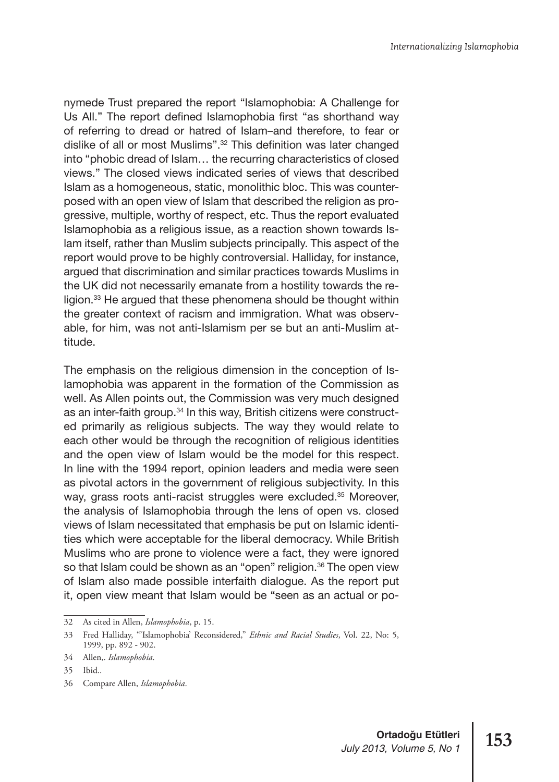nymede Trust prepared the report "Islamophobia: A Challenge for Us All." The report defined Islamophobia first "as shorthand way of referring to dread or hatred of Islam–and therefore, to fear or dislike of all or most Muslims".32 This definition was later changed into "phobic dread of Islam… the recurring characteristics of closed views." The closed views indicated series of views that described Islam as a homogeneous, static, monolithic bloc. This was counterposed with an open view of Islam that described the religion as progressive, multiple, worthy of respect, etc. Thus the report evaluated Islamophobia as a religious issue, as a reaction shown towards Islam itself, rather than Muslim subjects principally. This aspect of the report would prove to be highly controversial. Halliday, for instance, argued that discrimination and similar practices towards Muslims in the UK did not necessarily emanate from a hostility towards the religion.33 He argued that these phenomena should be thought within the greater context of racism and immigration. What was observable, for him, was not anti-Islamism per se but an anti-Muslim attitude.

The emphasis on the religious dimension in the conception of Islamophobia was apparent in the formation of the Commission as well. As Allen points out, the Commission was very much designed as an inter-faith group.<sup>34</sup> In this way, British citizens were constructed primarily as religious subjects. The way they would relate to each other would be through the recognition of religious identities and the open view of Islam would be the model for this respect. In line with the 1994 report, opinion leaders and media were seen as pivotal actors in the government of religious subjectivity. In this way, grass roots anti-racist struggles were excluded.<sup>35</sup> Moreover, the analysis of Islamophobia through the lens of open vs. closed views of Islam necessitated that emphasis be put on Islamic identities which were acceptable for the liberal democracy. While British Muslims who are prone to violence were a fact, they were ignored so that Islam could be shown as an "open" religion.<sup>36</sup> The open view of Islam also made possible interfaith dialogue. As the report put it, open view meant that Islam would be "seen as an actual or po-

<sup>32</sup> As cited in Allen, *Islamophobia*, p. 15.

<sup>33</sup> Fred Halliday, "'Islamophobia' Reconsidered," *Ethnic and Racial Studies*, Vol. 22, No: 5, 1999, pp. 892 - 902.

<sup>34</sup> Allen,. *Islamophobia*.

<sup>35</sup> Ibid..

<sup>36</sup> Compare Allen, *Islamophobia*.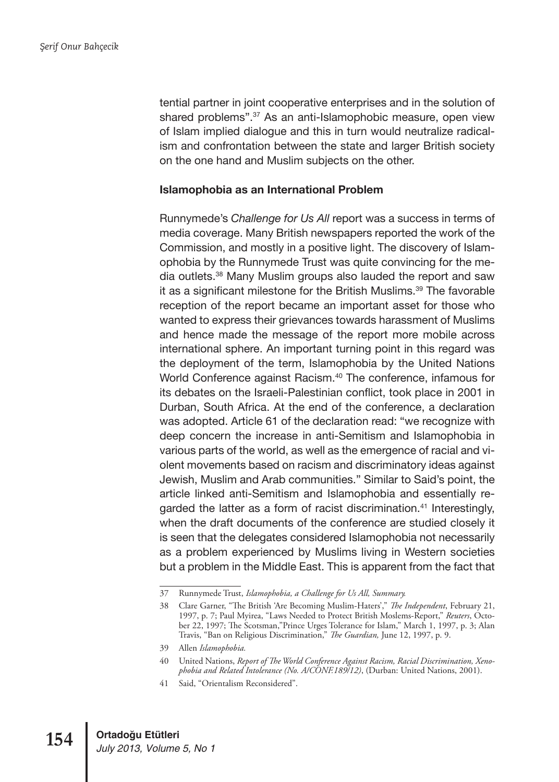tential partner in joint cooperative enterprises and in the solution of shared problems".<sup>37</sup> As an anti-Islamophobic measure, open view of Islam implied dialogue and this in turn would neutralize radicalism and confrontation between the state and larger British society on the one hand and Muslim subjects on the other.

#### **Islamophobia as an International Problem**

Runnymede's *Challenge for Us All* report was a success in terms of media coverage. Many British newspapers reported the work of the Commission, and mostly in a positive light. The discovery of Islamophobia by the Runnymede Trust was quite convincing for the media outlets.38 Many Muslim groups also lauded the report and saw it as a significant milestone for the British Muslims.<sup>39</sup> The favorable reception of the report became an important asset for those who wanted to express their grievances towards harassment of Muslims and hence made the message of the report more mobile across international sphere. An important turning point in this regard was the deployment of the term, Islamophobia by the United Nations World Conference against Racism.<sup>40</sup> The conference, infamous for its debates on the Israeli-Palestinian conflict, took place in 2001 in Durban, South Africa. At the end of the conference, a declaration was adopted. Article 61 of the declaration read: "we recognize with deep concern the increase in anti-Semitism and Islamophobia in various parts of the world, as well as the emergence of racial and violent movements based on racism and discriminatory ideas against Jewish, Muslim and Arab communities." Similar to Said's point, the article linked anti-Semitism and Islamophobia and essentially regarded the latter as a form of racist discrimination.<sup>41</sup> Interestingly, when the draft documents of the conference are studied closely it is seen that the delegates considered Islamophobia not necessarily as a problem experienced by Muslims living in Western societies but a problem in the Middle East. This is apparent from the fact that

<sup>37</sup> Runnymede Trust, *Islamophobia, a Challenge for Us All, Summary.*

<sup>38</sup> Clare Garner, "The British 'Are Becoming Muslim-Haters'," *The Independent*, February 21, 1997, p. 7; Paul Myirea, "Laws Needed to Protect British Moslems-Report," *Reuters*, October 22, 1997; The Scotsman,"Prince Urges Tolerance for Islam," March 1, 1997, p. 3; Alan Travis, "Ban on Religious Discrimination," *The Guardian,* June 12, 1997, p. 9.

<sup>39</sup> Allen *Islamophobia.*

<sup>40</sup> United Nations, *Report of The World Conference Against Racism, Racial Discrimination, Xenophobia and Related Intolerance (No. A/CONF.189/12)*, (Durban: United Nations, 2001).

<sup>41</sup> Said, "Orientalism Reconsidered".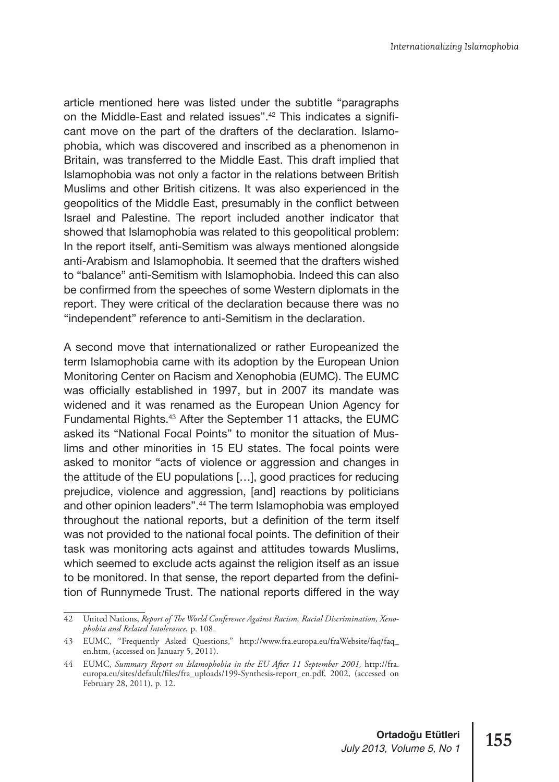article mentioned here was listed under the subtitle "paragraphs on the Middle-East and related issues".42 This indicates a significant move on the part of the drafters of the declaration. Islamophobia, which was discovered and inscribed as a phenomenon in Britain, was transferred to the Middle East. This draft implied that Islamophobia was not only a factor in the relations between British Muslims and other British citizens. It was also experienced in the geopolitics of the Middle East, presumably in the conflict between Israel and Palestine. The report included another indicator that showed that Islamophobia was related to this geopolitical problem: In the report itself, anti-Semitism was always mentioned alongside anti-Arabism and Islamophobia. It seemed that the drafters wished to "balance" anti-Semitism with Islamophobia. Indeed this can also be confirmed from the speeches of some Western diplomats in the report. They were critical of the declaration because there was no "independent" reference to anti-Semitism in the declaration.

A second move that internationalized or rather Europeanized the term Islamophobia came with its adoption by the European Union Monitoring Center on Racism and Xenophobia (EUMC). The EUMC was officially established in 1997, but in 2007 its mandate was widened and it was renamed as the European Union Agency for Fundamental Rights.43 After the September 11 attacks, the EUMC asked its "National Focal Points" to monitor the situation of Muslims and other minorities in 15 EU states. The focal points were asked to monitor "acts of violence or aggression and changes in the attitude of the EU populations […], good practices for reducing prejudice, violence and aggression, [and] reactions by politicians and other opinion leaders".44 The term Islamophobia was employed throughout the national reports, but a definition of the term itself was not provided to the national focal points. The definition of their task was monitoring acts against and attitudes towards Muslims, which seemed to exclude acts against the religion itself as an issue to be monitored. In that sense, the report departed from the definition of Runnymede Trust. The national reports differed in the way

<sup>42</sup> United Nations, *Report of The World Conference Against Racism, Racial Discrimination, Xenophobia and Related Intolerance,* p. 108.

<sup>43</sup> EUMC, "Frequently Asked Questions," http://www.fra.europa.eu/fraWebsite/faq/faq\_ en.htm, (accessed on January 5, 2011).

<sup>44</sup> EUMC, *Summary Report on Islamophobia in the EU After 11 September 2001,* http://fra. europa.eu/sites/default/files/fra\_uploads/199-Synthesis-report\_en.pdf, 2002, (accessed on February 28, 2011), p. 12.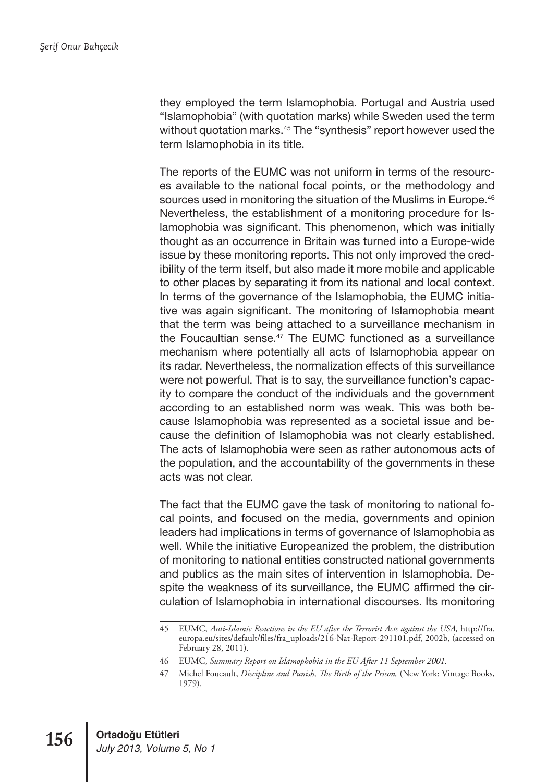they employed the term Islamophobia. Portugal and Austria used "Islamophobia" (with quotation marks) while Sweden used the term without quotation marks.<sup>45</sup> The "synthesis" report however used the term Islamophobia in its title.

The reports of the EUMC was not uniform in terms of the resources available to the national focal points, or the methodology and sources used in monitoring the situation of the Muslims in Europe.<sup>46</sup> Nevertheless, the establishment of a monitoring procedure for Islamophobia was significant. This phenomenon, which was initially thought as an occurrence in Britain was turned into a Europe-wide issue by these monitoring reports. This not only improved the credibility of the term itself, but also made it more mobile and applicable to other places by separating it from its national and local context. In terms of the governance of the Islamophobia, the EUMC initiative was again significant. The monitoring of Islamophobia meant that the term was being attached to a surveillance mechanism in the Foucaultian sense.<sup>47</sup> The EUMC functioned as a surveillance mechanism where potentially all acts of Islamophobia appear on its radar. Nevertheless, the normalization effects of this surveillance were not powerful. That is to say, the surveillance function's capacity to compare the conduct of the individuals and the government according to an established norm was weak. This was both because Islamophobia was represented as a societal issue and because the definition of Islamophobia was not clearly established. The acts of Islamophobia were seen as rather autonomous acts of the population, and the accountability of the governments in these acts was not clear.

The fact that the EUMC gave the task of monitoring to national focal points, and focused on the media, governments and opinion leaders had implications in terms of governance of Islamophobia as well. While the initiative Europeanized the problem, the distribution of monitoring to national entities constructed national governments and publics as the main sites of intervention in Islamophobia. Despite the weakness of its surveillance, the EUMC affirmed the circulation of Islamophobia in international discourses. Its monitoring

<sup>45</sup> EUMC, *Anti-Islamic Reactions in the EU after the Terrorist Acts against the USA,* http://fra. europa.eu/sites/default/files/fra\_uploads/216-Nat-Report-291101.pdf, 2002b, (accessed on February 28, 2011).

<sup>46</sup> EUMC, *Summary Report on Islamophobia in the EU After 11 September 2001.*

<sup>47</sup> Michel Foucault, *Discipline and Punish, The Birth of the Prison,* (New York: Vintage Books, 1979).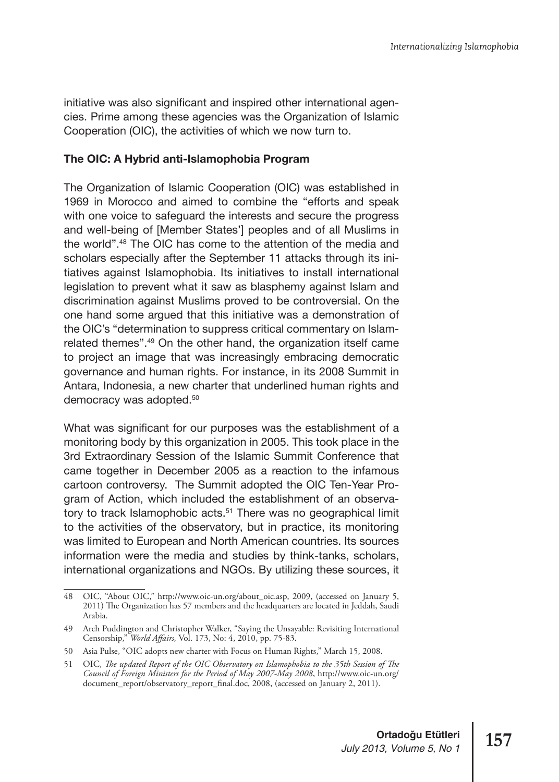initiative was also significant and inspired other international agencies. Prime among these agencies was the Organization of Islamic Cooperation (OIC), the activities of which we now turn to.

#### **The OIC: A Hybrid anti-Islamophobia Program**

The Organization of Islamic Cooperation (OIC) was established in 1969 in Morocco and aimed to combine the "efforts and speak with one voice to safeguard the interests and secure the progress and well-being of [Member States'] peoples and of all Muslims in the world".48 The OIC has come to the attention of the media and scholars especially after the September 11 attacks through its initiatives against Islamophobia. Its initiatives to install international legislation to prevent what it saw as blasphemy against Islam and discrimination against Muslims proved to be controversial. On the one hand some argued that this initiative was a demonstration of the OIC's "determination to suppress critical commentary on Islamrelated themes".49 On the other hand, the organization itself came to project an image that was increasingly embracing democratic governance and human rights. For instance, in its 2008 Summit in Antara, Indonesia, a new charter that underlined human rights and democracy was adopted.<sup>50</sup>

What was significant for our purposes was the establishment of a monitoring body by this organization in 2005. This took place in the 3rd Extraordinary Session of the Islamic Summit Conference that came together in December 2005 as a reaction to the infamous cartoon controversy. The Summit adopted the OIC Ten-Year Program of Action, which included the establishment of an observatory to track Islamophobic acts.<sup>51</sup> There was no geographical limit to the activities of the observatory, but in practice, its monitoring was limited to European and North American countries. Its sources information were the media and studies by think-tanks, scholars, international organizations and NGOs. By utilizing these sources, it

<sup>48</sup> OIC, "About OIC," http://www.oic-un.org/about\_oic.asp, 2009, (accessed on January 5, 2011) The Organization has 57 members and the headquarters are located in Jeddah, Saudi Arabia.

<sup>49</sup> Arch Puddington and Christopher Walker, "Saying the Unsayable: Revisiting International Censorship," *World Affairs,* Vol. 173, No: 4, 2010, pp. 75-83.

<sup>50</sup> Asia Pulse, "OIC adopts new charter with Focus on Human Rights," March 15, 2008.

<sup>51</sup> OIC, *The updated Report of the OIC Observatory on Islamophobia to the 35th Session of The Council of Foreign Ministers for the Period of May 2007-May 2008*, http://www.oic-un.org/ document\_report/observatory\_report\_final.doc, 2008, (accessed on January 2, 2011).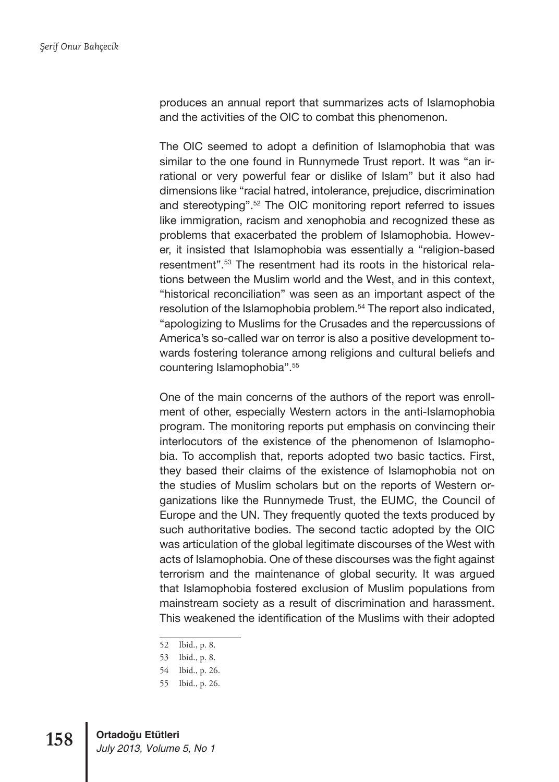produces an annual report that summarizes acts of Islamophobia and the activities of the OIC to combat this phenomenon.

The OIC seemed to adopt a definition of Islamophobia that was similar to the one found in Runnymede Trust report. It was "an irrational or very powerful fear or dislike of Islam" but it also had dimensions like "racial hatred, intolerance, prejudice, discrimination and stereotyping".52 The OIC monitoring report referred to issues like immigration, racism and xenophobia and recognized these as problems that exacerbated the problem of Islamophobia. However, it insisted that Islamophobia was essentially a "religion-based resentment".53 The resentment had its roots in the historical relations between the Muslim world and the West, and in this context, "historical reconciliation" was seen as an important aspect of the resolution of the Islamophobia problem.<sup>54</sup> The report also indicated, "apologizing to Muslims for the Crusades and the repercussions of America's so-called war on terror is also a positive development towards fostering tolerance among religions and cultural beliefs and countering Islamophobia".55

One of the main concerns of the authors of the report was enrollment of other, especially Western actors in the anti-Islamophobia program. The monitoring reports put emphasis on convincing their interlocutors of the existence of the phenomenon of Islamophobia. To accomplish that, reports adopted two basic tactics. First, they based their claims of the existence of Islamophobia not on the studies of Muslim scholars but on the reports of Western organizations like the Runnymede Trust, the EUMC, the Council of Europe and the UN. They frequently quoted the texts produced by such authoritative bodies. The second tactic adopted by the OIC was articulation of the global legitimate discourses of the West with acts of Islamophobia. One of these discourses was the fight against terrorism and the maintenance of global security. It was argued that Islamophobia fostered exclusion of Muslim populations from mainstream society as a result of discrimination and harassment. This weakened the identification of the Muslims with their adopted

<sup>52</sup> Ibid., p. 8.

<sup>53</sup> Ibid., p. 8.

<sup>54</sup> Ibid., p. 26.

<sup>55</sup> Ibid., p. 26.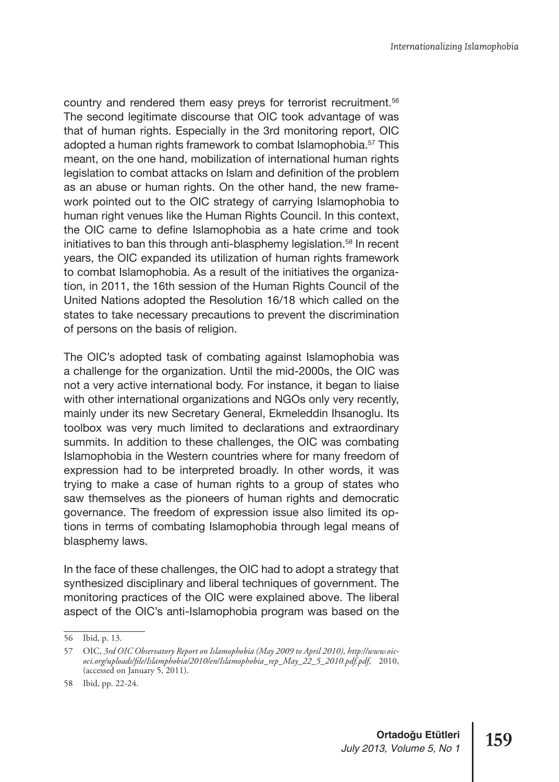country and rendered them easy preys for terrorist recruitment.<sup>56</sup> The second legitimate discourse that OIC took advantage of was that of human rights. Especially in the 3rd monitoring report, OIC adopted a human rights framework to combat Islamophobia.<sup>57</sup> This meant, on the one hand, mobilization of international human rights legislation to combat attacks on Islam and definition of the problem as an abuse or human rights. On the other hand, the new framework pointed out to the OIC strategy of carrying Islamophobia to human right venues like the Human Rights Council. In this context, the OIC came to define Islamophobia as a hate crime and took initiatives to ban this through anti-blasphemy legislation.<sup>58</sup> In recent years, the OIC expanded its utilization of human rights framework to combat Islamophobia. As a result of the initiatives the organization, in 2011, the 16th session of the Human Rights Council of the United Nations adopted the Resolution 16/18 which called on the states to take necessary precautions to prevent the discrimination of persons on the basis of religion.

The OIC's adopted task of combating against Islamophobia was a challenge for the organization. Until the mid-2000s, the OIC was not a very active international body. For instance, it began to liaise with other international organizations and NGOs only very recently, mainly under its new Secretary General, Ekmeleddin Ihsanoglu. Its toolbox was very much limited to declarations and extraordinary summits. In addition to these challenges, the OIC was combating Islamophobia in the Western countries where for many freedom of expression had to be interpreted broadly. In other words, it was trying to make a case of human rights to a group of states who saw themselves as the pioneers of human rights and democratic governance. The freedom of expression issue also limited its options in terms of combating Islamophobia through legal means of blasphemy laws.

In the face of these challenges, the OIC had to adopt a strategy that synthesized disciplinary and liberal techniques of government. The monitoring practices of the OIC were explained above. The liberal aspect of the OIC's anti-Islamophobia program was based on the

<sup>56</sup> Ibid, p. 13.

<sup>57</sup> OIC, *3rd OIC Observatory Report on Islamophobia (May 2009 to April 2010), http://www.oicoci.org/uploads/file/Islamphobia/2010/en/Islamophobia\_rep\_May\_22\_5\_2010.pdf.pdf*, 2010, (accessed on January 5, 2011).

<sup>58</sup> Ibid, pp. 22-24.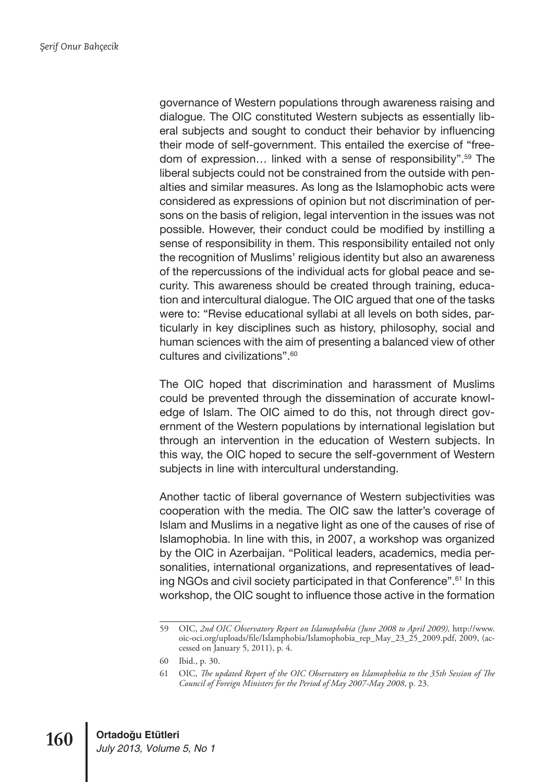governance of Western populations through awareness raising and dialogue. The OIC constituted Western subjects as essentially liberal subjects and sought to conduct their behavior by influencing their mode of self-government. This entailed the exercise of "freedom of expression… linked with a sense of responsibility".59 The liberal subjects could not be constrained from the outside with penalties and similar measures. As long as the Islamophobic acts were considered as expressions of opinion but not discrimination of persons on the basis of religion, legal intervention in the issues was not possible. However, their conduct could be modified by instilling a sense of responsibility in them. This responsibility entailed not only the recognition of Muslims' religious identity but also an awareness of the repercussions of the individual acts for global peace and security. This awareness should be created through training, education and intercultural dialogue. The OIC argued that one of the tasks were to: "Revise educational syllabi at all levels on both sides, particularly in key disciplines such as history, philosophy, social and human sciences with the aim of presenting a balanced view of other cultures and civilizations".60

The OIC hoped that discrimination and harassment of Muslims could be prevented through the dissemination of accurate knowledge of Islam. The OIC aimed to do this, not through direct government of the Western populations by international legislation but through an intervention in the education of Western subjects. In this way, the OIC hoped to secure the self-government of Western subjects in line with intercultural understanding.

Another tactic of liberal governance of Western subjectivities was cooperation with the media. The OIC saw the latter's coverage of Islam and Muslims in a negative light as one of the causes of rise of Islamophobia. In line with this, in 2007, a workshop was organized by the OIC in Azerbaijan. "Political leaders, academics, media personalities, international organizations, and representatives of leading NGOs and civil society participated in that Conference".61 In this workshop, the OIC sought to influence those active in the formation

<sup>59</sup> OIC, *2nd OIC Observatory Report on Islamophobia (June 2008 to April 2009),* http://www. oic-oci.org/uploads/file/Islamphobia/Islamophobia\_rep\_May\_23\_25\_2009.pdf, 2009, (accessed on January 5, 2011), p. 4.

<sup>60</sup> Ibid., p. 30.

<sup>61</sup> OIC, *The updated Report of the OIC Observatory on Islamophobia to the 35th Session of The Council of Foreign Ministers for the Period of May 2007-May 2008*, p. 23.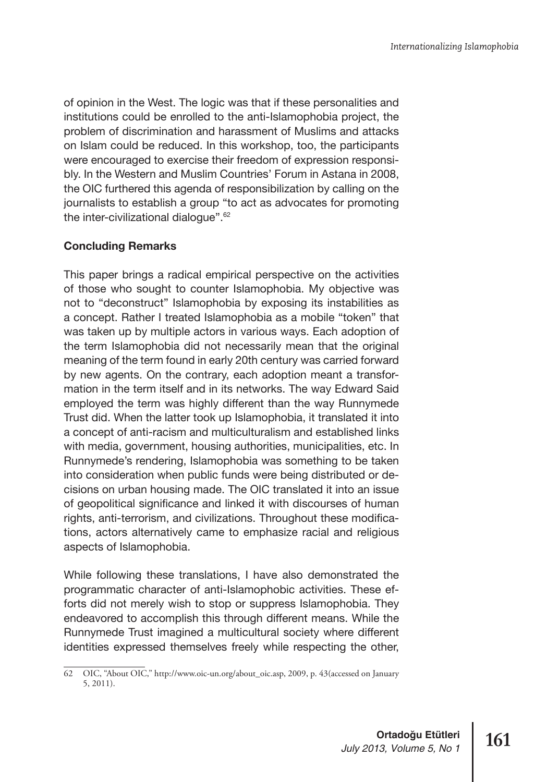of opinion in the West. The logic was that if these personalities and institutions could be enrolled to the anti-Islamophobia project, the problem of discrimination and harassment of Muslims and attacks on Islam could be reduced. In this workshop, too, the participants were encouraged to exercise their freedom of expression responsibly. In the Western and Muslim Countries' Forum in Astana in 2008, the OIC furthered this agenda of responsibilization by calling on the journalists to establish a group "to act as advocates for promoting the inter-civilizational dialogue".62

## **Concluding Remarks**

This paper brings a radical empirical perspective on the activities of those who sought to counter Islamophobia. My objective was not to "deconstruct" Islamophobia by exposing its instabilities as a concept. Rather I treated Islamophobia as a mobile "token" that was taken up by multiple actors in various ways. Each adoption of the term Islamophobia did not necessarily mean that the original meaning of the term found in early 20th century was carried forward by new agents. On the contrary, each adoption meant a transformation in the term itself and in its networks. The way Edward Said employed the term was highly different than the way Runnymede Trust did. When the latter took up Islamophobia, it translated it into a concept of anti-racism and multiculturalism and established links with media, government, housing authorities, municipalities, etc. In Runnymede's rendering, Islamophobia was something to be taken into consideration when public funds were being distributed or decisions on urban housing made. The OIC translated it into an issue of geopolitical significance and linked it with discourses of human rights, anti-terrorism, and civilizations. Throughout these modifications, actors alternatively came to emphasize racial and religious aspects of Islamophobia.

While following these translations, I have also demonstrated the programmatic character of anti-Islamophobic activities. These efforts did not merely wish to stop or suppress Islamophobia. They endeavored to accomplish this through different means. While the Runnymede Trust imagined a multicultural society where different identities expressed themselves freely while respecting the other,

<sup>62</sup> OIC, "About OIC," http://www.oic-un.org/about\_oic.asp, 2009, p. 43(accessed on January 5, 2011).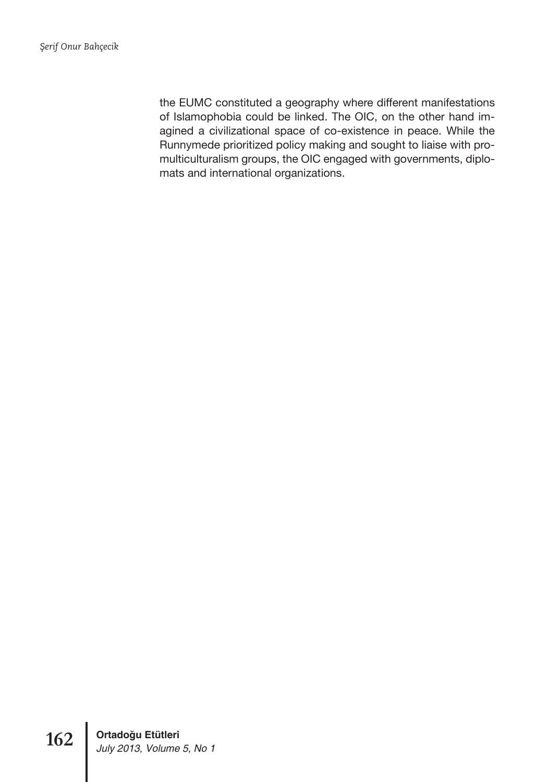the EUMC constituted a geography where different manifestations of Islamophobia could be linked. The OIC, on the other hand imagined a civilizational space of co-existence in peace. While the Runnymede prioritized policy making and sought to liaise with promulticulturalism groups, the OIC engaged with governments, diplomats and international organizations.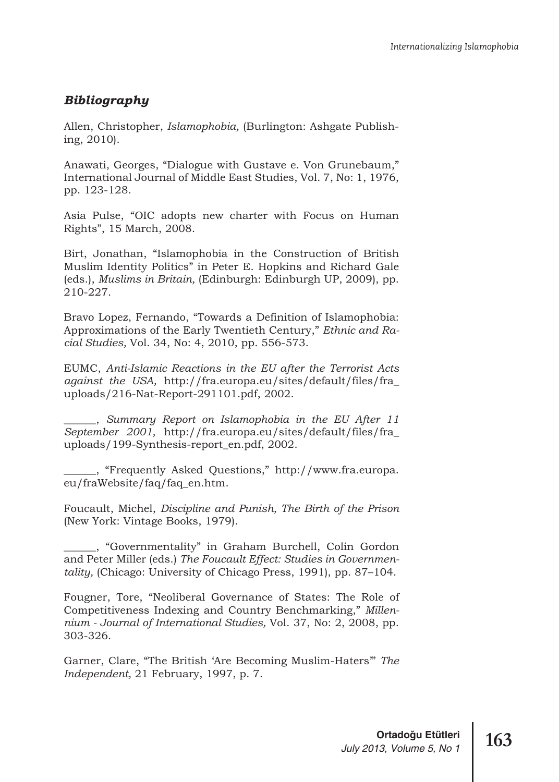## *Bibliography*

Allen, Christopher, *Islamophobia,* (Burlington: Ashgate Publishing, 2010).

Anawati, Georges, "Dialogue with Gustave e. Von Grunebaum," International Journal of Middle East Studies, Vol. 7, No: 1, 1976, pp. 123-128.

Asia Pulse, "OIC adopts new charter with Focus on Human Rights", 15 March, 2008.

Birt, Jonathan, "Islamophobia in the Construction of British Muslim Identity Politics" in Peter E. Hopkins and Richard Gale (eds.), *Muslims in Britain,* (Edinburgh: Edinburgh UP, 2009), pp. 210-227.

Bravo Lopez, Fernando, "Towards a Definition of Islamophobia: Approximations of the Early Twentieth Century," *Ethnic and Racial Studies,* Vol. 34, No: 4, 2010, pp. 556-573.

EUMC, *Anti-Islamic Reactions in the EU after the Terrorist Acts against the USA,* http://fra.europa.eu/sites/default/files/fra\_ uploads/216-Nat-Report-291101.pdf, 2002.

\_\_\_\_\_\_, *Summary Report on Islamophobia in the EU After 11 September 2001,* http://fra.europa.eu/sites/default/files/fra\_ uploads/199-Synthesis-report\_en.pdf, 2002.

\_\_\_\_\_\_, "Frequently Asked Questions," http://www.fra.europa. eu/fraWebsite/faq/faq\_en.htm.

Foucault, Michel, *Discipline and Punish, The Birth of the Prison* (New York: Vintage Books, 1979).

\_\_\_\_\_\_, "Governmentality" in Graham Burchell, Colin Gordon and Peter Miller (eds.) *The Foucault Effect: Studies in Governmentality,* (Chicago: University of Chicago Press, 1991), pp. 87–104.

Fougner, Tore, "Neoliberal Governance of States: The Role of Competitiveness Indexing and Country Benchmarking," *Millennium - Journal of International Studies,* Vol. 37, No: 2, 2008, pp. 303-326.

Garner, Clare, "The British 'Are Becoming Muslim-Haters'" *The Independent,* 21 February, 1997, p. 7.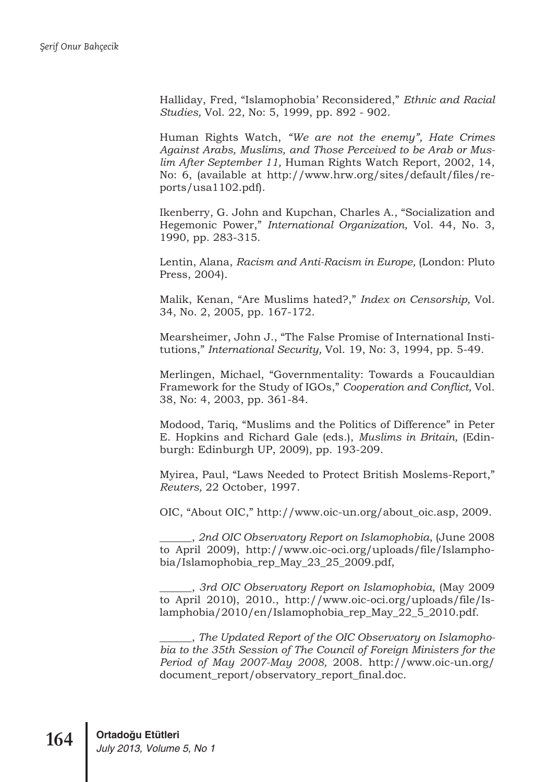Halliday, Fred, "Islamophobia' Reconsidered," *Ethnic and Racial Studies,* Vol. 22, No: 5, 1999, pp. 892 - 902.

Human Rights Watch, *"We are not the enemy", Hate Crimes Against Arabs, Muslims, and Those Perceived to be Arab or Muslim After September 11,* Human Rights Watch Report, 2002, 14, No: 6, (available at http://www.hrw.org/sites/default/files/reports/usa1102.pdf).

Ikenberry, G. John and Kupchan, Charles A., "Socialization and Hegemonic Power," *International Organization,* Vol. 44, No. 3, 1990, pp. 283-315.

Lentin, Alana, *Racism and Anti-Racism in Europe,* (London: Pluto Press, 2004).

Malik, Kenan, "Are Muslims hated?," *Index on Censorship,* Vol. 34, No. 2, 2005, pp. 167-172.

Mearsheimer, John J., "The False Promise of International Institutions," *International Security,* Vol. 19, No: 3, 1994, pp. 5-49.

Merlingen, Michael, "Governmentality: Towards a Foucauldian Framework for the Study of IGOs," *Cooperation and Conflict,* Vol. 38, No: 4, 2003, pp. 361-84.

Modood, Tariq, "Muslims and the Politics of Difference" in Peter E. Hopkins and Richard Gale (eds.), *Muslims in Britain,* (Edinburgh: Edinburgh UP, 2009), pp. 193-209.

Myirea, Paul, "Laws Needed to Protect British Moslems-Report," *Reuters,* 22 October, 1997.

OIC, "About OIC," http://www.oic-un.org/about\_oic.asp, 2009.

\_\_\_\_\_\_, *2nd OIC Observatory Report on Islamophobia*, (June 2008 to April 2009), http://www.oic-oci.org/uploads/file/Islamphobia/Islamophobia\_rep\_May\_23\_25\_2009.pdf,

\_\_\_\_\_\_, *3rd OIC Observatory Report on Islamophobia*, (May 2009 to April 2010), 2010., http://www.oic-oci.org/uploads/file/Islamphobia/2010/en/Islamophobia\_rep\_May\_22\_5\_2010.pdf.

\_\_\_\_\_\_, *The Updated Report of the OIC Observatory on Islamophobia to the 35th Session of The Council of Foreign Ministers for the Period of May 2007-May 2008,* 2008. http://www.oic-un.org/ document\_report/observatory\_report\_final.doc.